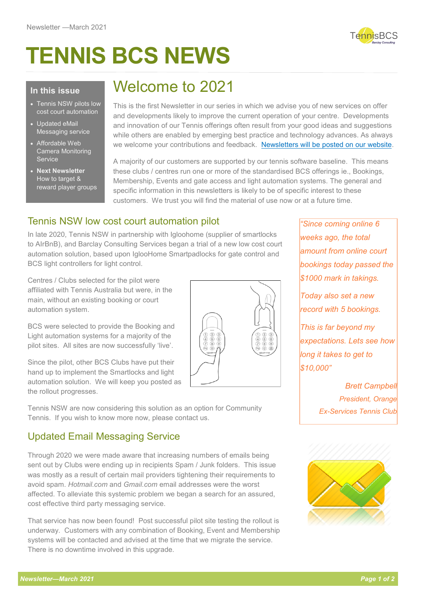# **TENNIS BCS NEWS**



#### **In this issue**

- Tennis NSW pilots low cost court automation
- Updated eMail Messaging service
- Affordable Web Camera Monitoring Service
- **Next Newsletter** How to target & reward player groups

# Welcome to 2021

This is the first Newsletter in our series in which we advise you of new services on offer and developments likely to improve the current operation of your centre. Developments and innovation of our Tennis offerings often result from your good ideas and suggestions while others are enabled by emerging best practice and technology advances. As always we welcome your contributions and feedback. [Newsletters will be posted on our website.](https://www.barclayconsulting.com.au/BCS-Products.aspx)

A majority of our customers are supported by our tennis software baseline. This means these clubs / centres run one or more of the standardised BCS offerings ie., Bookings, Membership, Events and gate access and light automation systems. The general and specific information in this newsletters is likely to be of specific interest to these customers. We trust you will find the material of use now or at a future time.

### Tennis NSW low cost court automation pilot

In late 2020, Tennis NSW in partnership with Igloohome (supplier of smartlocks to AIrBnB), and Barclay Consulting Services began a trial of a new low cost court automation solution, based upon IglooHome Smartpadlocks for gate control and BCS light controllers for light control.

Centres / Clubs selected for the pilot were affiliated with Tennis Australia but were, in the main, without an existing booking or court automation system.

BCS were selected to provide the Booking and Light automation systems for a majority of the pilot sites. All sites are now successfully 'live'.

Since the pilot, other BCS Clubs have put their hand up to implement the Smartlocks and light automation solution. We will keep you posted as the rollout progresses.



Tennis NSW are now considering this solution as an option for Community Tennis. If you wish to know more now, please contact us.

### Updated Email Messaging Service

Through 2020 we were made aware that increasing numbers of emails being sent out by Clubs were ending up in recipients Spam / Junk folders. This issue was mostly as a result of certain mail providers tightening their requirements to avoid spam. *Hotmail.com* and *Gmail.com* email addresses were the worst affected. To alleviate this systemic problem we began a search for an assured, cost effective third party messaging service.

That service has now been found! Post successful pilot site testing the rollout is underway. Customers with any combination of Booking, Event and Membership systems will be contacted and advised at the time that we migrate the service. There is no downtime involved in this upgrade.

*"Since coming online 6 weeks ago, the total amount from online court bookings today passed the \$1000 mark in takings.*

*Today also set a new record with 5 bookings.*

*This is far beyond my expectations. Lets see how long it takes to get to \$10,000"* 

> *Brett Campbell President, Orange Ex-Services Tennis Club*